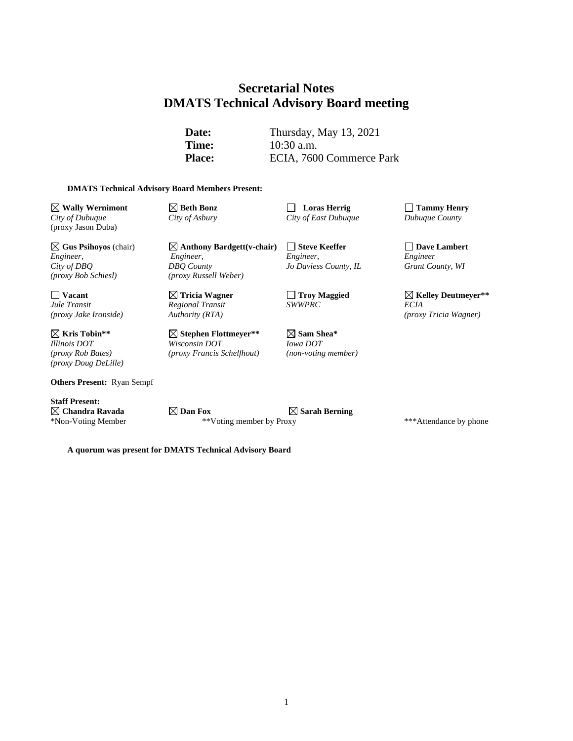# **Secretarial Notes DMATS Technical Advisory Board meeting**

**Date:** Thursday, May 13, 2021 **Time:** 10:30 a.m. Place: ECIA, 7600 Commerce Park

#### **DMATS Technical Advisory Board Members Present:**

**Wally Wernimont Beth Bonz Loras Herrig Tammy Henry** *City of Dubuque City of Asbury City of East Dubuque Dubuque County* (proxy Jason Duba)

*Engineer, Engineer, Engineer, Engineer City of DBQ DBQ County Jo Daviess County, IL Grant County, WI (proxy Bob Schiesl) (proxy Russell Weber)*

**Kris Tobin\*\* Stephen Flottmeyer\*\* Sam Shea\*** *(proxy Rob Bates) (proxy Francis Schelfhout) (non-voting member) (proxy Doug DeLille)*

**Others Present:** Ryan Sempf

**Staff Present:**

*Regional Transit*<br>*Authority (RTA)* 

**Gus Psihoyos** (chair) **Anthony Bardgett(v-chair) Steve Keeffer Dave Lambert**

*Illinois DOT Wisconsin DOT Iowa DOT*

<table>\n<tbody>\n<tr>\n<th>Vacant</th>\n<th>✓ Tricia Wagner</th>\n<th>✓ Troy Magged</th>\n<th>✓ Kelley Deutmeyer\*\*</th>\n</tr>\n<tr>\n<td>Jul <i>Transit</i></td>\n<td>  Regional Transit</td>\n<td>  SWWPRC</td>\n<td>  ECA</td>\n</tr>\n</tbody>\n</table> *(proxy Jake Ironside) Authority (RTA) (proxy Tricia Wagner)*

**Chandra Ravada Dan Fox Sarah Berning** \*Non-Voting Member \*\*Voting member by Proxy \*\*\*Attendance by phone

**A quorum was present for DMATS Technical Advisory Board**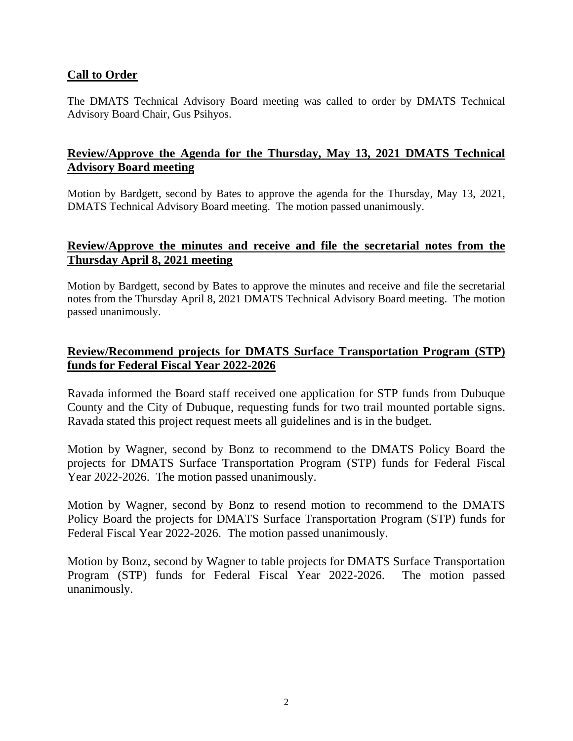#### **Call to Order**

The DMATS Technical Advisory Board meeting was called to order by DMATS Technical Advisory Board Chair, Gus Psihyos.

## **Review/Approve the Agenda for the Thursday, May 13, 2021 DMATS Technical Advisory Board meeting**

Motion by Bardgett, second by Bates to approve the agenda for the Thursday, May 13, 2021, DMATS Technical Advisory Board meeting. The motion passed unanimously.

#### **Review/Approve the minutes and receive and file the secretarial notes from the Thursday April 8, 2021 meeting**

Motion by Bardgett, second by Bates to approve the minutes and receive and file the secretarial notes from the Thursday April 8, 2021 DMATS Technical Advisory Board meeting. The motion passed unanimously.

## **Review/Recommend projects for DMATS Surface Transportation Program (STP) funds for Federal Fiscal Year 2022-2026**

Ravada informed the Board staff received one application for STP funds from Dubuque County and the City of Dubuque, requesting funds for two trail mounted portable signs. Ravada stated this project request meets all guidelines and is in the budget.

Motion by Wagner, second by Bonz to recommend to the DMATS Policy Board the projects for DMATS Surface Transportation Program (STP) funds for Federal Fiscal Year 2022-2026. The motion passed unanimously.

Motion by Wagner, second by Bonz to resend motion to recommend to the DMATS Policy Board the projects for DMATS Surface Transportation Program (STP) funds for Federal Fiscal Year 2022-2026. The motion passed unanimously.

Motion by Bonz, second by Wagner to table projects for DMATS Surface Transportation Program (STP) funds for Federal Fiscal Year 2022-2026. The motion passed unanimously.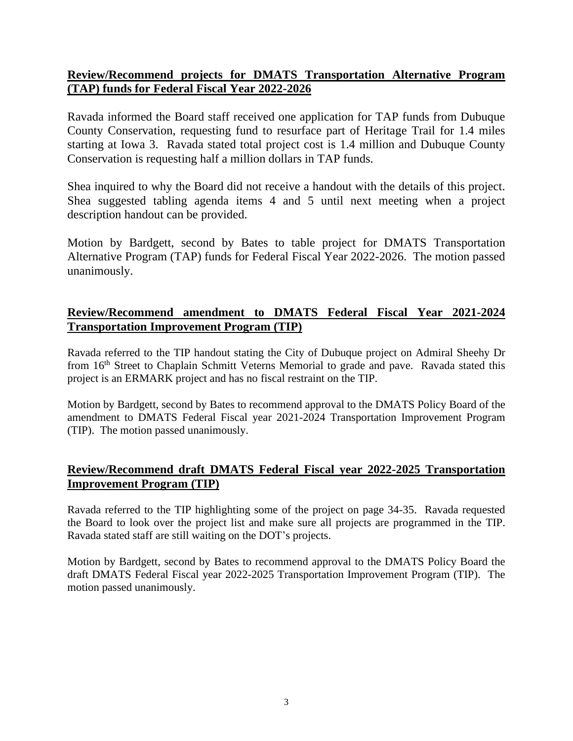# **Review/Recommend projects for DMATS Transportation Alternative Program (TAP) funds for Federal Fiscal Year 2022-2026**

Ravada informed the Board staff received one application for TAP funds from Dubuque County Conservation, requesting fund to resurface part of Heritage Trail for 1.4 miles starting at Iowa 3. Ravada stated total project cost is 1.4 million and Dubuque County Conservation is requesting half a million dollars in TAP funds.

Shea inquired to why the Board did not receive a handout with the details of this project. Shea suggested tabling agenda items 4 and 5 until next meeting when a project description handout can be provided.

Motion by Bardgett, second by Bates to table project for DMATS Transportation Alternative Program (TAP) funds for Federal Fiscal Year 2022-2026. The motion passed unanimously.

# **Review/Recommend amendment to DMATS Federal Fiscal Year 2021-2024 Transportation Improvement Program (TIP)**

Ravada referred to the TIP handout stating the City of Dubuque project on Admiral Sheehy Dr from 16<sup>th</sup> Street to Chaplain Schmitt Veterns Memorial to grade and pave. Ravada stated this project is an ERMARK project and has no fiscal restraint on the TIP.

Motion by Bardgett, second by Bates to recommend approval to the DMATS Policy Board of the amendment to DMATS Federal Fiscal year 2021-2024 Transportation Improvement Program (TIP). The motion passed unanimously.

# **Review/Recommend draft DMATS Federal Fiscal year 2022-2025 Transportation Improvement Program (TIP)**

Ravada referred to the TIP highlighting some of the project on page 34-35. Ravada requested the Board to look over the project list and make sure all projects are programmed in the TIP. Ravada stated staff are still waiting on the DOT's projects.

Motion by Bardgett, second by Bates to recommend approval to the DMATS Policy Board the draft DMATS Federal Fiscal year 2022-2025 Transportation Improvement Program (TIP). The motion passed unanimously.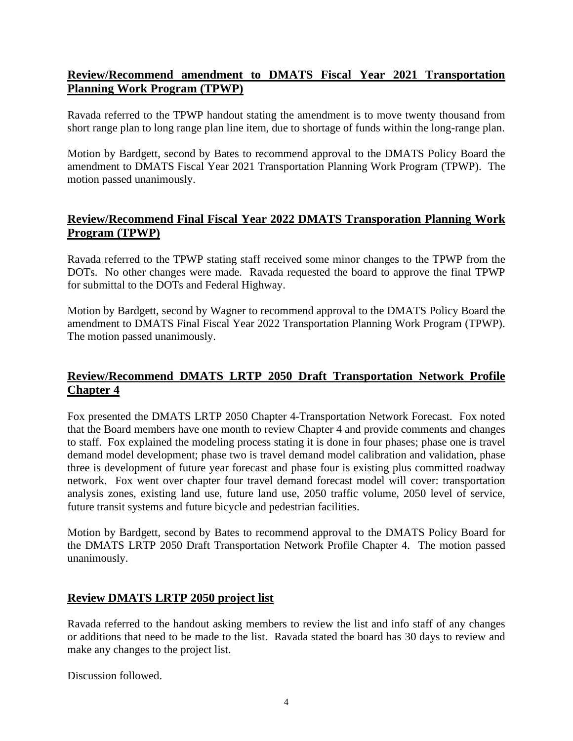# **Review/Recommend amendment to DMATS Fiscal Year 2021 Transportation Planning Work Program (TPWP)**

Ravada referred to the TPWP handout stating the amendment is to move twenty thousand from short range plan to long range plan line item, due to shortage of funds within the long-range plan.

Motion by Bardgett, second by Bates to recommend approval to the DMATS Policy Board the amendment to DMATS Fiscal Year 2021 Transportation Planning Work Program (TPWP). The motion passed unanimously.

# **Review/Recommend Final Fiscal Year 2022 DMATS Transporation Planning Work Program (TPWP)**

Ravada referred to the TPWP stating staff received some minor changes to the TPWP from the DOTs. No other changes were made. Ravada requested the board to approve the final TPWP for submittal to the DOTs and Federal Highway.

Motion by Bardgett, second by Wagner to recommend approval to the DMATS Policy Board the amendment to DMATS Final Fiscal Year 2022 Transportation Planning Work Program (TPWP). The motion passed unanimously.

# **Review/Recommend DMATS LRTP 2050 Draft Transportation Network Profile Chapter 4**

Fox presented the DMATS LRTP 2050 Chapter 4-Transportation Network Forecast. Fox noted that the Board members have one month to review Chapter 4 and provide comments and changes to staff. Fox explained the modeling process stating it is done in four phases; phase one is travel demand model development; phase two is travel demand model calibration and validation, phase three is development of future year forecast and phase four is existing plus committed roadway network. Fox went over chapter four travel demand forecast model will cover: transportation analysis zones, existing land use, future land use, 2050 traffic volume, 2050 level of service, future transit systems and future bicycle and pedestrian facilities.

Motion by Bardgett, second by Bates to recommend approval to the DMATS Policy Board for the DMATS LRTP 2050 Draft Transportation Network Profile Chapter 4. The motion passed unanimously.

## **Review DMATS LRTP 2050 project list**

Ravada referred to the handout asking members to review the list and info staff of any changes or additions that need to be made to the list. Ravada stated the board has 30 days to review and make any changes to the project list.

Discussion followed.